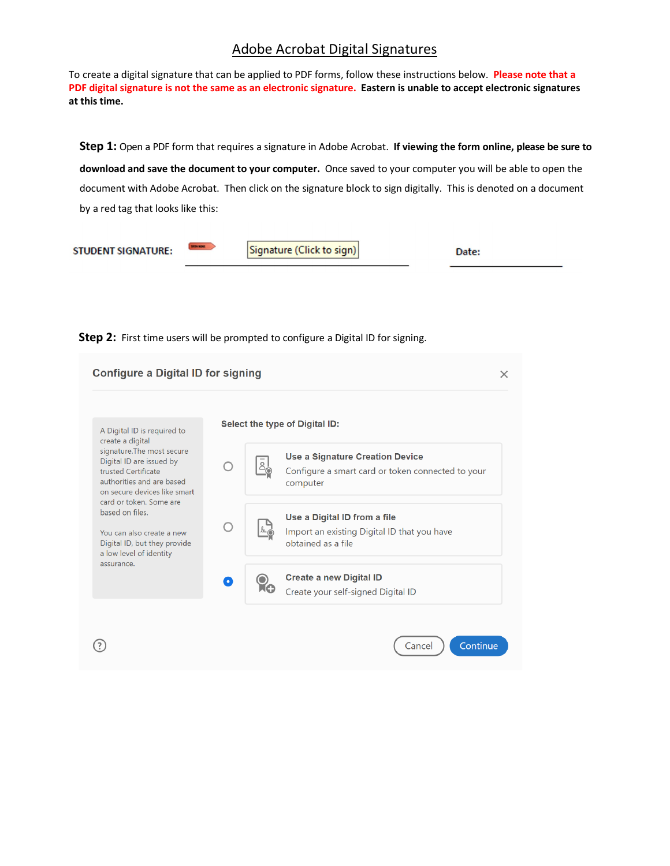## Adobe Acrobat Digital Signatures

To create a digital signature that can be applied to PDF forms, follow these instructions below. **Please note that a PDF digital signature is not the same as an electronic signature. Eastern is unable to accept electronic signatures at this time.**

**Step 1:** Open a PDF form that requires a signature in Adobe Acrobat. **If viewing the form online, please be sure to download and save the document to your computer.** Once saved to your computer you will be able to open the document with Adobe Acrobat. Then click on the signature block to sign digitally. This is denoted on a document by a red tag that looks like this:

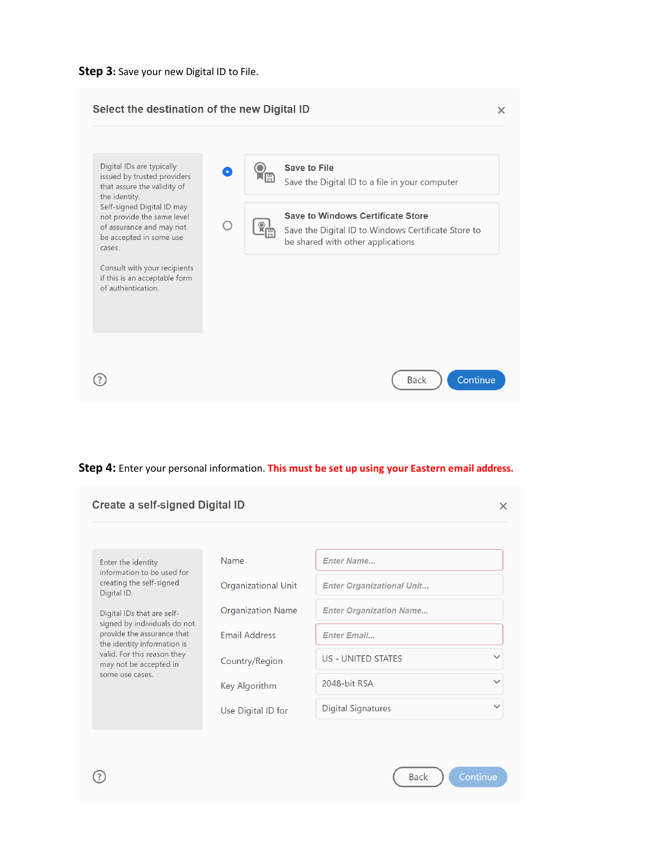



## **Step 4:** Enter your personal information. **This must be set up using your Eastern email address.**

| <b>Create a self-signed Digital ID</b> |                                  | $\times$     |
|----------------------------------------|----------------------------------|--------------|
|                                        |                                  |              |
| Name                                   | <b>Enter Name</b>                |              |
| Organizational Unit                    | <b>Enter Organizational Unit</b> |              |
| <b>Organization Name</b>               | <b>Enter Organization Name</b>   |              |
| <b>Email Address</b>                   | <b>Enter Email</b>               |              |
| Country/Region                         | <b>US - UNITED STATES</b>        | $\checkmark$ |
| Key Algorithm                          | 2048-bit RSA                     | $\checkmark$ |
| Use Digital ID for                     | <b>Digital Signatures</b>        | $\checkmark$ |
|                                        |                                  |              |
|                                        |                                  |              |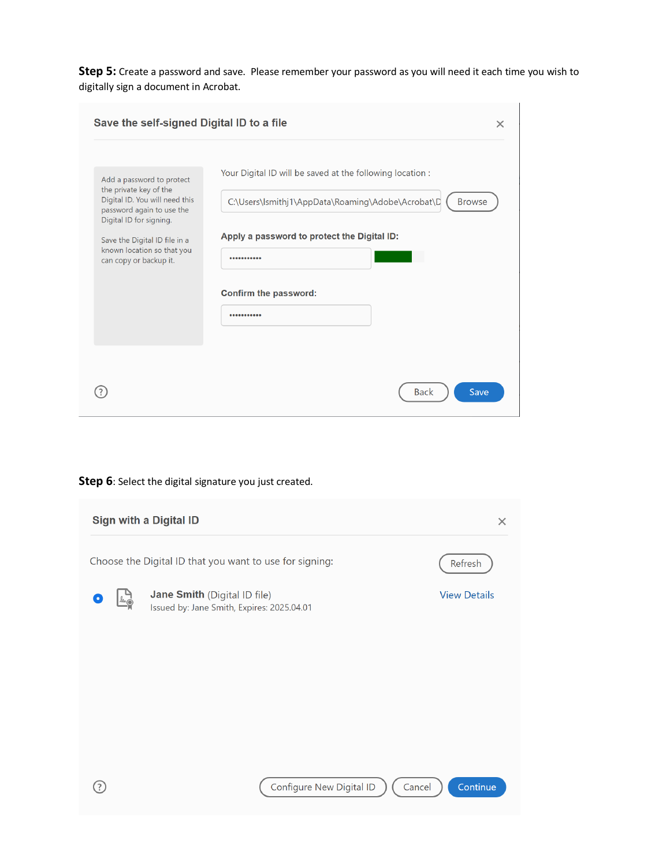**Step 5:** Create a password and save. Please remember your password as you will need it each time you wish to digitally sign a document in Acrobat.

| Save the self-signed Digital ID to a file<br>Add a password to protect<br>the private key of the<br>Digital ID. You will need this<br>password again to use the<br>Digital ID for signing.<br>Save the Digital ID file in a<br>known location so that you<br>can copy or backup it. | $\times$<br>Your Digital ID will be saved at the following location :<br>C:\Users\lsmithj1\AppData\Roaming\Adobe\Acrobat\D<br><b>Browse</b><br>Apply a password to protect the Digital ID:<br><br>Confirm the password:<br> |
|-------------------------------------------------------------------------------------------------------------------------------------------------------------------------------------------------------------------------------------------------------------------------------------|-----------------------------------------------------------------------------------------------------------------------------------------------------------------------------------------------------------------------------|
|                                                                                                                                                                                                                                                                                     | <b>Back</b><br>Save                                                                                                                                                                                                         |

## **Step 6**: Select the digital signature you just created.

| Sign with a Digital ID<br>$\times$                                 |                                                                            |                                    |                     |  |  |  |
|--------------------------------------------------------------------|----------------------------------------------------------------------------|------------------------------------|---------------------|--|--|--|
| Choose the Digital ID that you want to use for signing:<br>Refresh |                                                                            |                                    |                     |  |  |  |
| leur                                                               | Jane Smith (Digital ID file)<br>Issued by: Jane Smith, Expires: 2025.04.01 |                                    | <b>View Details</b> |  |  |  |
|                                                                    |                                                                            |                                    |                     |  |  |  |
|                                                                    |                                                                            |                                    |                     |  |  |  |
|                                                                    |                                                                            |                                    |                     |  |  |  |
|                                                                    |                                                                            |                                    |                     |  |  |  |
|                                                                    |                                                                            | Configure New Digital ID<br>Cancel | Continue            |  |  |  |